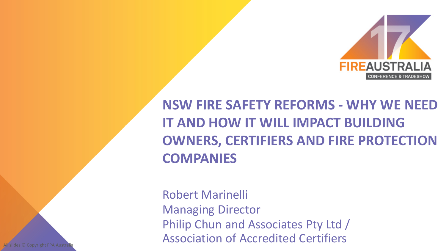

**NSW FIRE SAFETY REFORMS - WHY WE NEED IT AND HOW IT WILL IMPACT BUILDING OWNERS, CERTIFIERS AND FIRE PROTECTION COMPANIES**

Robert Marinelli Managing Director Philip Chun and Associates Pty Ltd / Association of Accredited Certifiers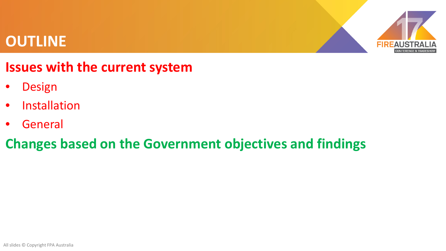#### **OUTLINE**



#### **Issues with the current system**

- **Design**
- Installation
- General

#### **Changes based on the Government objectives and findings**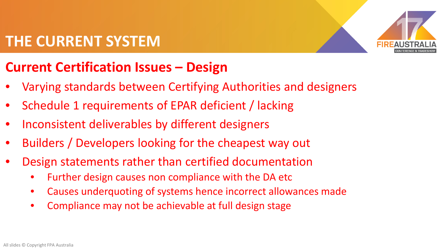### **THE CURRENT SYSTEM**



## **Current Certification Issues – Design**

- Varying standards between Certifying Authorities and designers
- Schedule 1 requirements of EPAR deficient / lacking
- Inconsistent deliverables by different designers
- Builders / Developers looking for the cheapest way out
- Design statements rather than certified documentation
	- Further design causes non compliance with the DA etc
	- Causes underquoting of systems hence incorrect allowances made
	- Compliance may not be achievable at full design stage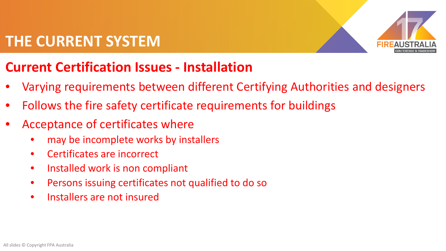### **THE CURRENT SYSTEM**



## **Current Certification Issues - Installation**

- Varying requirements between different Certifying Authorities and designers
- Follows the fire safety certificate requirements for buildings
- Acceptance of certificates where
	- may be incomplete works by installers
	- Certificates are incorrect
	- Installed work is non compliant
	- Persons issuing certificates not qualified to do so
	- Installers are not insured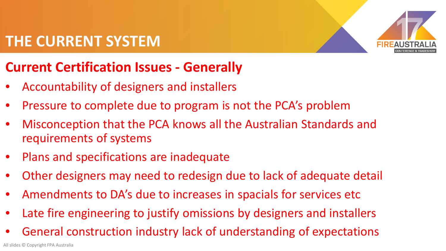## **THE CURRENT SYSTEM**



# **Current Certification Issues - Generally**

- Accountability of designers and installers
- Pressure to complete due to program is not the PCA's problem
- Misconception that the PCA knows all the Australian Standards and requirements of systems
- Plans and specifications are inadequate
- Other designers may need to redesign due to lack of adequate detail
- Amendments to DA's due to increases in spacials for services etc
- Late fire engineering to justify omissions by designers and installers
- General construction industry lack of understanding of expectations

All slides © Copyright FPA Australia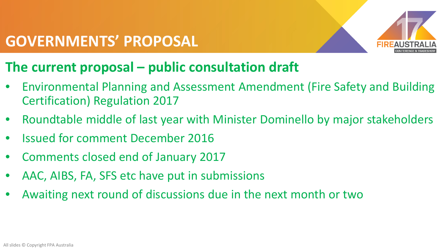

### **The current proposal – public consultation draft**

- Environmental Planning and Assessment Amendment (Fire Safety and Building Certification) Regulation 2017
- Roundtable middle of last year with Minister Dominello by major stakeholders
- Issued for comment December 2016
- Comments closed end of January 2017
- AAC, AIBS, FA, SFS etc have put in submissions
- Awaiting next round of discussions due in the next month or two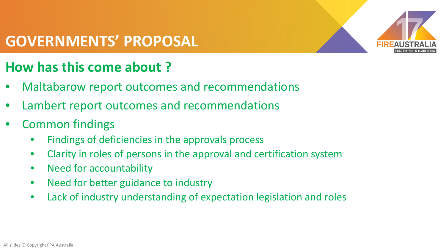

### **How has this come about ?**

- Maltabarow report outcomes and recommendations
- Lambert report outcomes and recommendations
- Common findings
	- Findings of deficiencies in the approvals process
	- Clarity in roles of persons in the approval and certification system
	- Need for accountability
	- Need for better guidance to industry
	- Lack of industry understanding of expectation legislation and roles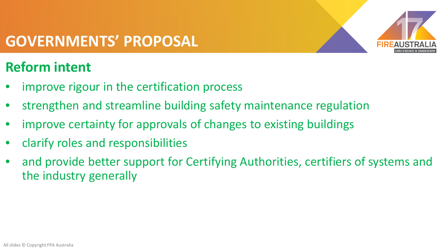

## **Reform intent**

- improve rigour in the certification process
- strengthen and streamline building safety maintenance regulation
- improve certainty for approvals of changes to existing buildings
- clarify roles and responsibilities
- and provide better support for Certifying Authorities, certifiers of systems and the industry generally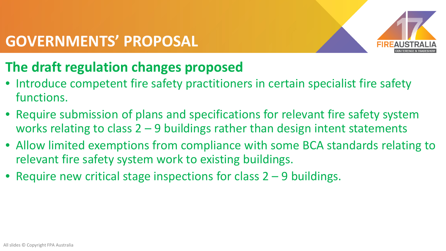

## **The draft regulation changes proposed**

- Introduce competent fire safety practitioners in certain specialist fire safety functions.
- Require submission of plans and specifications for relevant fire safety system works relating to class  $2 - 9$  buildings rather than design intent statements
- Allow limited exemptions from compliance with some BCA standards relating to relevant fire safety system work to existing buildings.
- Require new critical stage inspections for class 2 9 buildings.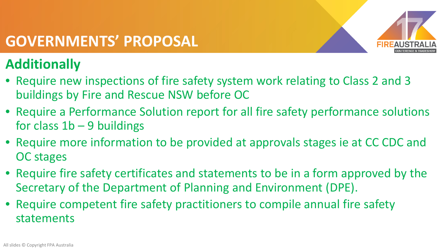

# **Additionally**

- Require new inspections of fire safety system work relating to Class 2 and 3 buildings by Fire and Rescue NSW before OC
- Require a Performance Solution report for all fire safety performance solutions for class  $1b - 9$  buildings
- Require more information to be provided at approvals stages ie at CC CDC and OC stages
- Require fire safety certificates and statements to be in a form approved by the Secretary of the Department of Planning and Environment (DPE).
- Require competent fire safety practitioners to compile annual fire safety statements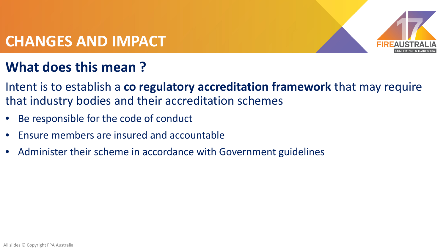

## **What does this mean ?**

- Intent is to establish a **co regulatory accreditation framework** that may require that industry bodies and their accreditation schemes
- Be responsible for the code of conduct
- Ensure members are insured and accountable
- Administer their scheme in accordance with Government guidelines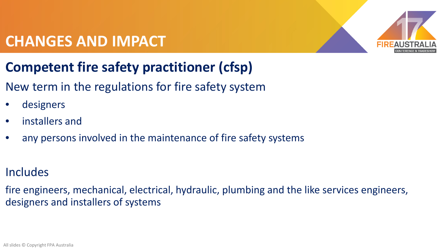

# **Competent fire safety practitioner (cfsp)**

#### New term in the regulations for fire safety system

- designers
- installers and
- any persons involved in the maintenance of fire safety systems

#### Includes

fire engineers, mechanical, electrical, hydraulic, plumbing and the like services engineers, designers and installers of systems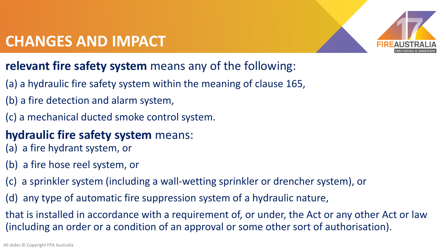

#### **relevant fire safety system** means any of the following:

- (a) a hydraulic fire safety system within the meaning of clause 165,
- (b) a fire detection and alarm system,
- (c) a mechanical ducted smoke control system.
- **hydraulic fire safety system** means:
- (a) a fire hydrant system, or
- (b) a fire hose reel system, or
- (c) a sprinkler system (including a wall-wetting sprinkler or drencher system), or
- (d) any type of automatic fire suppression system of a hydraulic nature,

that is installed in accordance with a requirement of, or under, the Act or any other Act or law (including an order or a condition of an approval or some other sort of authorisation).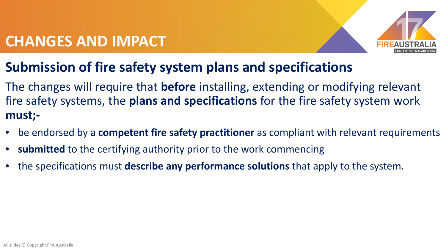

### **Submission of fire safety system plans and specifications**

The changes will require that **before** installing, extending or modifying relevant fire safety systems, the **plans and specifications** for the fire safety system work **must;-**

- be endorsed by a **competent fire safety practitioner** as compliant with relevant requirements
- **submitted** to the certifying authority prior to the work commencing
- the specifications must **describe any performance solutions** that apply to the system.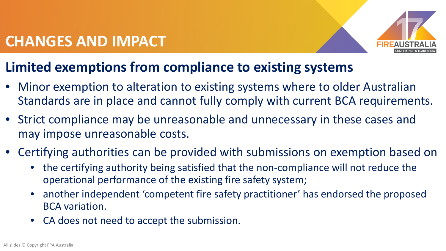

#### **Limited exemptions from compliance to existing systems**

- Minor exemption to alteration to existing systems where to older Australian Standards are in place and cannot fully comply with current BCA requirements.
- Strict compliance may be unreasonable and unnecessary in these cases and may impose unreasonable costs.
- Certifying authorities can be provided with submissions on exemption based on
	- the certifying authority being satisfied that the non-compliance will not reduce the operational performance of the existing fire safety system;
	- another independent 'competent fire safety practitioner' has endorsed the proposed BCA variation.
	- CA does not need to accept the submission.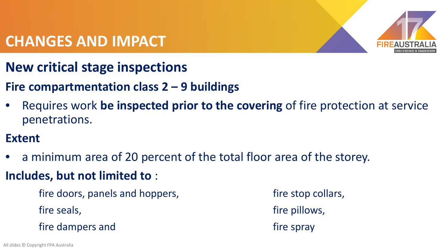

- **New critical stage inspections**
- **Fire compartmentation class 2 – 9 buildings**
- Requires work **be inspected prior to the covering** of fire protection at service penetrations.
- **Extent**
- a minimum area of 20 percent of the total floor area of the storey.
- **Includes, but not limited to** :
	- fire doors, panels and hoppers, the stop collars, the stop collars, fire seals, the seals, the seals, the seals, the seals of the pillows, the pillows, fire dampers and fire spray
-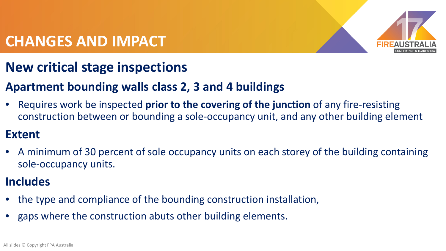

### **New critical stage inspections**

#### **Apartment bounding walls class 2, 3 and 4 buildings**

• Requires work be inspected **prior to the covering of the junction** of any fire-resisting construction between or bounding a sole-occupancy unit, and any other building element

#### **Extent**

• A minimum of 30 percent of sole occupancy units on each storey of the building containing sole-occupancy units.

#### **Includes**

- the type and compliance of the bounding construction installation,
- gaps where the construction abuts other building elements.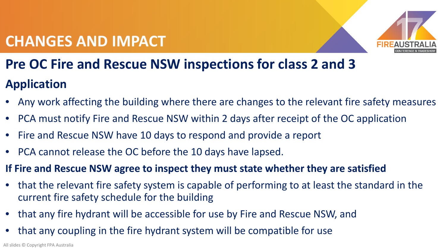

# **Pre OC Fire and Rescue NSW inspections for class 2 and 3 Application**

- Any work affecting the building where there are changes to the relevant fire safety measures
- PCA must notify Fire and Rescue NSW within 2 days after receipt of the OC application
- Fire and Rescue NSW have 10 days to respond and provide a report
- PCA cannot release the OC before the 10 days have lapsed.
- **If Fire and Rescue NSW agree to inspect they must state whether they are satisfied**
- that the relevant fire safety system is capable of performing to at least the standard in the current fire safety schedule for the building
- that any fire hydrant will be accessible for use by Fire and Rescue NSW, and
- that any coupling in the fire hydrant system will be compatible for use

All slides © Copyright FPA Australia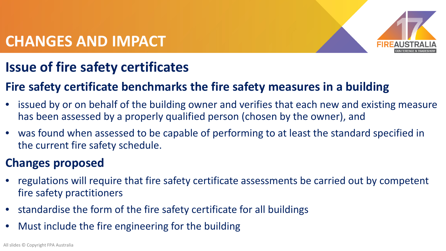

### **Issue of fire safety certificates**

#### **Fire safety certificate benchmarks the fire safety measures in a building**

- issued by or on behalf of the building owner and verifies that each new and existing measure has been assessed by a properly qualified person (chosen by the owner), and
- was found when assessed to be capable of performing to at least the standard specified in the current fire safety schedule.

#### **Changes proposed**

- regulations will require that fire safety certificate assessments be carried out by competent fire safety practitioners
- standardise the form of the fire safety certificate for all buildings
- Must include the fire engineering for the building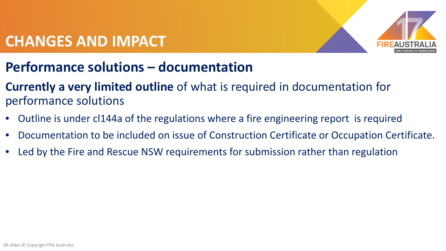

- **Performance solutions – documentation**
- **Currently a very limited outline** of what is required in documentation for performance solutions
- Outline is under cl144a of the regulations where a fire engineering report is required
- Documentation to be included on issue of Construction Certificate or Occupation Certificate.
- Led by the Fire and Rescue NSW requirements for submission rather than regulation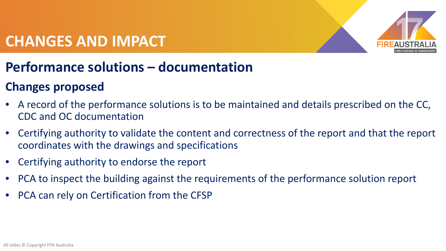

### **Performance solutions – documentation**

#### **Changes proposed**

- A record of the performance solutions is to be maintained and details prescribed on the CC, CDC and OC documentation
- Certifying authority to validate the content and correctness of the report and that the report coordinates with the drawings and specifications
- Certifying authority to endorse the report
- PCA to inspect the building against the requirements of the performance solution report
- PCA can rely on Certification from the CFSP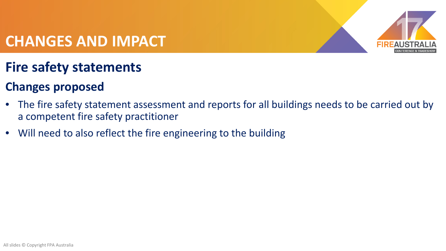

#### **Fire safety statements**

#### **Changes proposed**

- The fire safety statement assessment and reports for all buildings needs to be carried out by a competent fire safety practitioner
- Will need to also reflect the fire engineering to the building